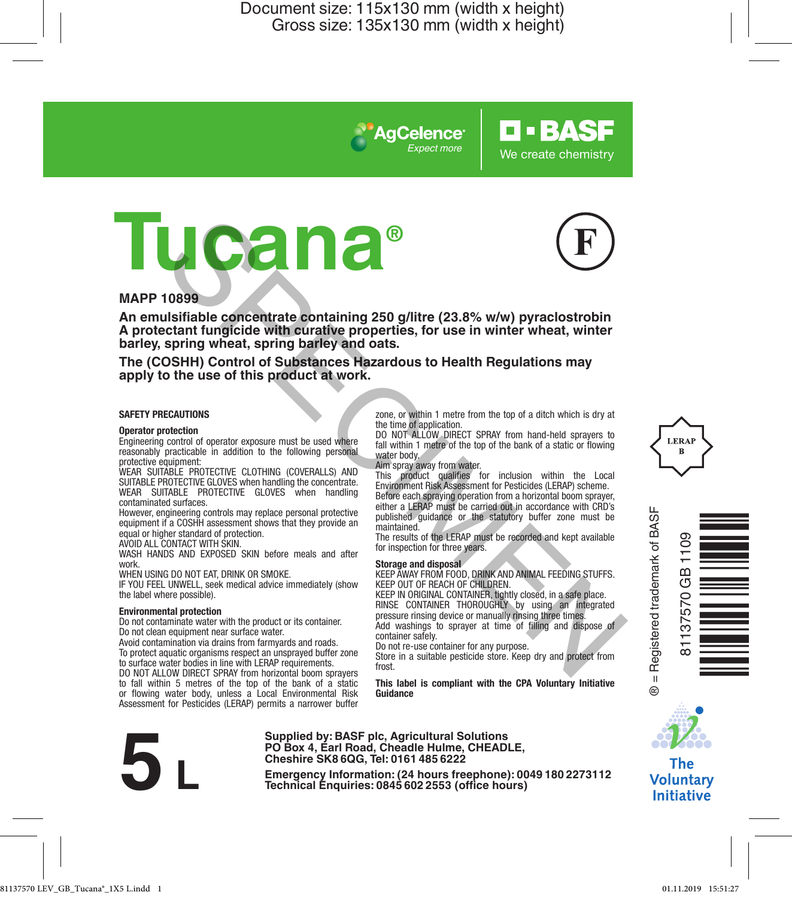*Expect more*

**AgCelence** 

**Tucana®**



**O-BASF** 

We create chemistry

#### **MAPP 10899**

**An emulsifiable concentrate containing 250 g/litre (23.8% w/w) pyraclostrobin A protectant fungicide with curative properties, for use in winter wheat, winter barley, spring wheat, spring barley and oats.** THE CORRECTIVE CONTROLL CONFERENCE CONSULTER (SOMETIME CONSULTER)<br>
SURFAINTENT INTERFERENCE CONSULTER (SOMETHE CONSULTER) AND CONSULTER SOMETHING THE SERVICE CONSULTER SOMETHING COVERNLES AND THE SURFACE CONSULTER CONSULTE

**The (COSHH) Control of Substances Hazardous to Health Regulations may apply to the use of this product at work.**

#### **SAFETY PRECAUTIONS**

#### **Operator protection**

Engineering control of operator exposure must be used where reasonably practicable in addition to the following personal protective equipment:

WEAR SUITABLE PROTECTIVE CLOTHING (COVERALLS) AND SUITABLE PROTECTIVE GLOVES when handling the concentrate. WEAR SUITABLE PROTECTIVE GLOVES when handling contaminated surfaces.

However, engineering controls may replace personal protective equipment if a COSHH assessment shows that they provide an equal or higher standard of protection. AVOID ALL CONTACT WITH SKIN.

WASH HANDS AND EXPOSED SKIN before meals and after work.

WHEN USING DO NOT FAT, DRINK OR SMOKE

IF YOU FEEL UNWELL, seek medical advice immediately (show the label where possible).

#### **Environmental protection**

Do not contaminate water with the product or its container. Do not clean equipment near surface water.

Avoid contamination via drains from farmyards and roads. To protect aquatic organisms respect an unsprayed buffer zone to surface water bodies in line with LERAP requirements.

DO NOT ALLOW DIRECT SPRAY from horizontal boom sprayers to fall within 5 metres of the top of the bank of a static or flowing water body, unless a Local Environmental Risk Assessment for Pesticides (LERAP) permits a narrower buffer zone, or within 1 metre from the top of a ditch which is dry at the time of application.

DO NOT ALLOW DIRECT SPRAY from hand-held sprayers to fall within 1 metre of the top of the bank of a static or flowing water body.

Aim spray away from water.

This product qualifies for inclusion within the Local Environment Risk Assessment for Pesticides (LERAP) scheme. Before each spraying operation from a horizontal boom sprayer, either a LERAP must be carried out in accordance with CRD's published guidance or the statutory buffer zone must be maintained.

The results of the LERAP must be recorded and kept available for inspection for three years.

**Storage and disposal** KEEP AWAY FROM FOOD, DRINK AND ANIMAL FEEDING STUFFS. KEEP OUT OF REACH OF CHILDREN.

KEEP IN ORIGINAL CONTAINER, tightly closed, in a safe place. RINSE CONTAINER THOROUGHLY by using an integrated pressure rinsing device or manually rinsing three times. Add washings to sprayer at time of filling and dispose of

container safely. Do not re-use container for any purpose.

Store in a suitable pesticide store. Keep dry and protect from frost.

**This label is compliant with the CPA Voluntary Initiative Guidance**



**Supplied by: BASF plc, Agricultural Solutions PO Box 4, Earl Road, Cheadle Hulme, CHEADLE, Cheshire SK8 6QG, Tel: 0161 485 6222**

**Examples by Emergency Information:** (24 **hours freephone**): 0049<br> **Emergency Information:** (24 **hours** freephone): 00491802273112<br> **Emergency Information:** (24 **hours**)<br> **Technical** Enquiries: 0845 602 2553 (office hour







The **Voluntary Initiative**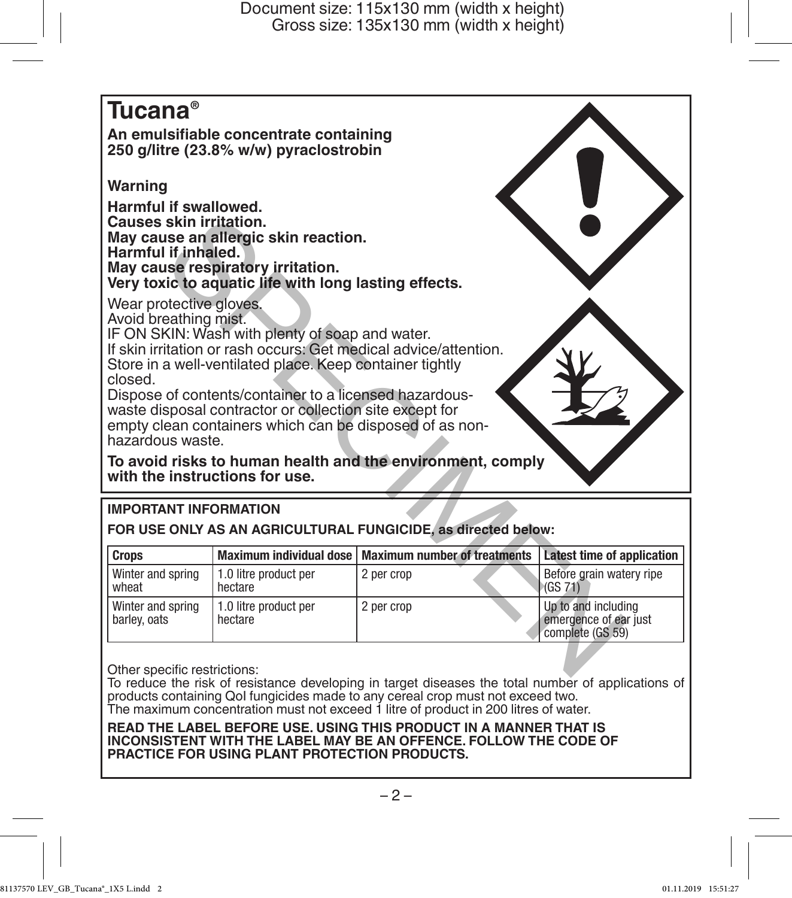# **Tucana®**

**An emulsifiable concentrate containing 250 g/litre (23.8% w/w) pyraclostrobin** 

## **Warning**

**Harmful if swallowed. Causes skin irritation. May cause an allergic skin reaction. Harmful if inhaled. May cause respiratory irritation. Very toxic to aquatic life with long lasting effects.**



## **IMPORTANT INFORMATION**

| Harmful if inhaled.                                                                                               | May cause an allergic skin reaction.<br>May cause respiratory irritation.<br>Very toxic to aquatic life with long lasting effects.                                                                                                                                                          |                                                                                                                                |                                                                  |
|-------------------------------------------------------------------------------------------------------------------|---------------------------------------------------------------------------------------------------------------------------------------------------------------------------------------------------------------------------------------------------------------------------------------------|--------------------------------------------------------------------------------------------------------------------------------|------------------------------------------------------------------|
| Wear protective gloves.<br>Avoid breathing mist.<br>closed.<br>hazardous waste.<br>with the instructions for use. | IF ON SKIN: Wash with plenty of soap and water.<br>Store in a well-ventilated place. Keep container tightly<br>Dispose of contents/container to a licensed hazardous-<br>waste disposal contractor or collection site except for<br>empty clean containers which can be disposed of as non- | If skin irritation or rash occurs: Get medical advice/attention.<br>To avoid risks to human health and the environment, comply |                                                                  |
|                                                                                                                   |                                                                                                                                                                                                                                                                                             |                                                                                                                                |                                                                  |
| <b>IMPORTANT INFORMATION</b>                                                                                      |                                                                                                                                                                                                                                                                                             |                                                                                                                                |                                                                  |
|                                                                                                                   |                                                                                                                                                                                                                                                                                             | FOR USE ONLY AS AN AGRICULTURAL FUNGICIDE, as directed below:                                                                  |                                                                  |
| <b>Crops</b>                                                                                                      | Maximum individual dose                                                                                                                                                                                                                                                                     | <b>Maximum number of treatments</b>                                                                                            | Latest time of application                                       |
| Winter and spring<br>wheat                                                                                        | 1.0 litre product per<br>hectare                                                                                                                                                                                                                                                            | 2 per crop                                                                                                                     | Before grain watery ripe<br>(GS 71)                              |
| Winter and spring<br>barley, oats                                                                                 | 1.0 litre product per<br>hectare                                                                                                                                                                                                                                                            | 2 per crop                                                                                                                     | Up to and including<br>emergence of ear just<br>complete (GS 59) |

To reduce the risk of resistance developing in target diseases the total number of applications of products containing QoI fungicides made to any cereal crop must not exceed two. The maximum concentration must not exceed 1 litre of product in 200 litres of water.

**READ THE LABEL BEFORE USE. USING THIS PRODUCT IN A MANNER THAT IS INCONSISTENT WITH THE LABEL MAY BE AN OFFENCE. FOLLOW THE CODE OF PRACTICE FOR USING PLANT PROTECTION PRODUCTS.**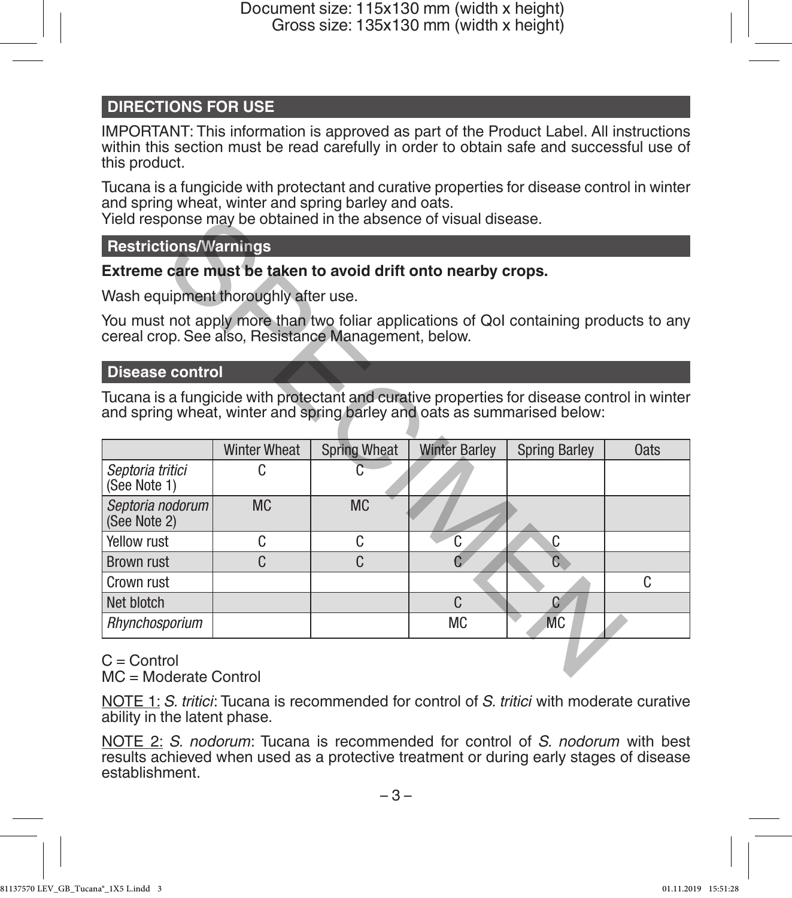## **DIRECTIONS FOR USE**

IMPORTANT: This information is approved as part of the Product Label. All instructions within this section must be read carefully in order to obtain safe and successful use of this product.

Tucana is a fungicide with protectant and curative properties for disease control in winter and spring wheat, winter and spring barley and oats.

Yield response may be obtained in the absence of visual disease.

#### **Restrictions/Warnings**

#### **Extreme care must be taken to avoid drift onto nearby crops.**

#### **Disease control**

| Yield response may be obtained in the absence of visual disease.                                                                                                        |                     |                     |                      |                      |             |  |
|-------------------------------------------------------------------------------------------------------------------------------------------------------------------------|---------------------|---------------------|----------------------|----------------------|-------------|--|
| <b>Restrictions/Warnings</b>                                                                                                                                            |                     |                     |                      |                      |             |  |
| Extreme care must be taken to avoid drift onto nearby crops.                                                                                                            |                     |                     |                      |                      |             |  |
| Wash equipment thoroughly after use.                                                                                                                                    |                     |                     |                      |                      |             |  |
| You must not apply more than two foliar applications of QoI containing products to any<br>cereal crop. See also, Resistance Management, below.                          |                     |                     |                      |                      |             |  |
| <b>Disease control</b>                                                                                                                                                  |                     |                     |                      |                      |             |  |
| Tucana is a fungicide with protectant and curative properties for disease control in winter<br>and spring wheat, winter and spring barley and oats as summarised below: |                     |                     |                      |                      |             |  |
|                                                                                                                                                                         | <b>Winter Wheat</b> | <b>Spring Wheat</b> | <b>Winter Barley</b> | <b>Spring Barley</b> | <b>Oats</b> |  |
| Septoria tritici<br>(See Note 1)                                                                                                                                        | C                   |                     |                      |                      |             |  |
| Septoria nodorum<br>(See Note 2)                                                                                                                                        | <b>MC</b>           | <b>MC</b>           |                      |                      |             |  |
| Yellow rust                                                                                                                                                             | C                   | C                   | C                    | C                    |             |  |
| <b>Brown rust</b>                                                                                                                                                       | C                   | C                   | Ć.                   | G                    |             |  |
| Crown rust                                                                                                                                                              |                     |                     |                      |                      | C.          |  |
| Net blotch                                                                                                                                                              |                     |                     | C                    | C.                   |             |  |
| Rhynchosporium                                                                                                                                                          |                     |                     | <b>MC</b>            | <b>MC</b>            |             |  |
| $C =$ Control<br>$MC - Modarata Control$                                                                                                                                |                     |                     |                      |                      |             |  |

 $C =$  Control MC = Moderate Control

NOTE 1: *S. tritici*: Tucana is recommended for control of *S. tritici* with moderate curative ability in the latent phase.

NOTE 2: *S. nodorum*: Tucana is recommended for control of *S. nodorum* with best results achieved when used as a protective treatment or during early stages of disease establishment.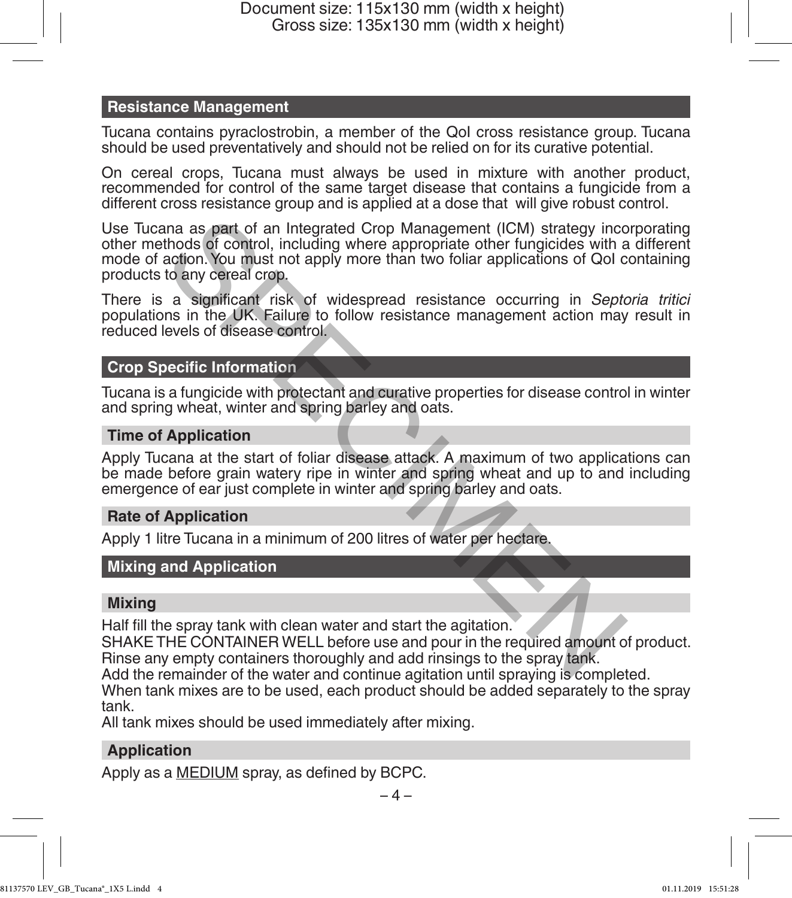#### **Resistance Management**

Tucana contains pyraclostrobin, a member of the QoI cross resistance group. Tucana should be used preventatively and should not be relied on for its curative potential.

On cereal crops, Tucana must always be used in mixture with another product, recommended for control of the same target disease that contains a fungicide from a different cross resistance group and is applied at a dose that will give robust control.

Use Tucana as part of an Integrated Crop Management (ICM) strategy incorporating other methods of control, including where appropriate other fungicides with a different mode of action. You must not apply more than two foliar applications of QoI containing products to any cereal crop. ana as part of an Integrated Crop Management (ICM) strategy incentrods of control, including where appropriate other fungicides with a action. You must not apply more than two foliar applications of QoI c action. You must

There is a significant risk of widespread resistance occurring in *Septoria tritici* populations in the UK. Failure to follow resistance management action may result in reduced levels of disease control.

#### **Crop Specific Information**

Tucana is a fungicide with protectant and curative properties for disease control in winter and spring wheat, winter and spring barley and oats.

#### **Time of Application**

Apply Tucana at the start of foliar disease attack. A maximum of two applications can be made before grain watery ripe in winter and spring wheat and up to and including emergence of ear just complete in winter and spring barley and oats.

#### **Rate of Application**

Apply 1 litre Tucana in a minimum of 200 litres of water per hectare.

## **Mixing and Application**

#### **Mixing**

Half fill the spray tank with clean water and start the agitation.

SHAKE THE CONTAINER WELL before use and pour in the required amount of product. Rinse any empty containers thoroughly and add rinsings to the spray tank.

Add the remainder of the water and continue agitation until spraying is completed.

When tank mixes are to be used, each product should be added separately to the spray tank.

All tank mixes should be used immediately after mixing.

## **Application**

Apply as a MEDIUM spray, as defined by BCPC.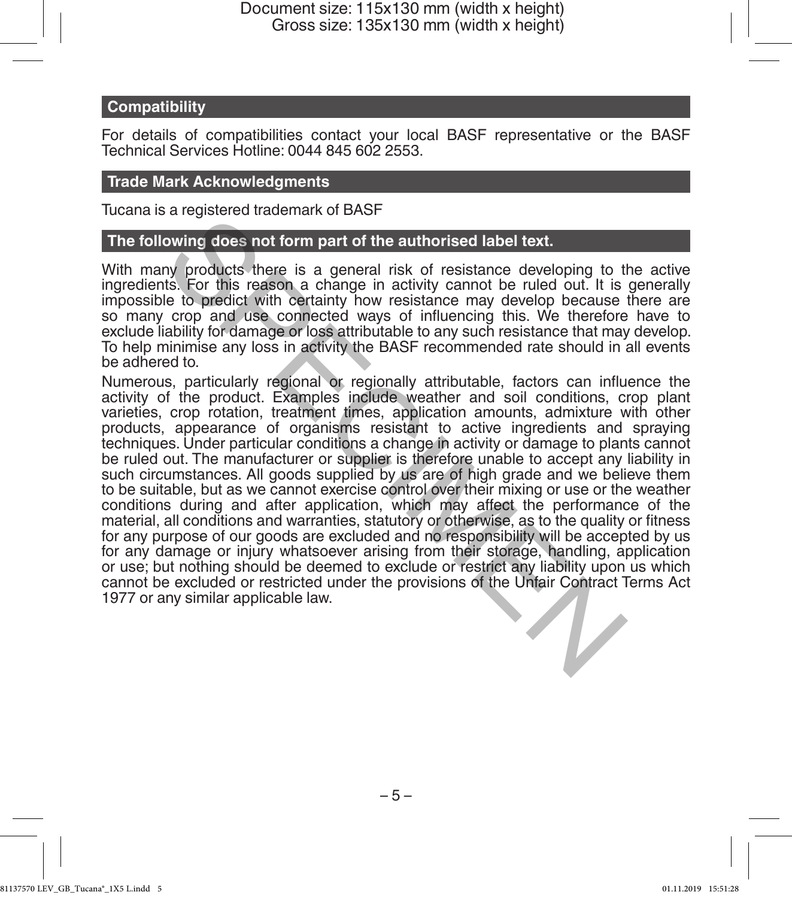#### **Compatibility**

For details of compatibilities contact your local BASF representative or the BASF Technical Services Hotline: 0044 845 602 2553.

#### **Trade Mark Acknowledgments**

Tucana is a registered trademark of BASF

#### **The following does not form part of the authorised label text.**

With many products there is a general risk of resistance developing to the active ingredients. For this reason a change in activity cannot be ruled out. It is generally impossible to predict with certainty how resistance may develop because there are so many crop and use connected ways of influencing this. We therefore have to exclude liability for damage or loss attributable to any such resistance that may develop. To help minimise any loss in activity the BASF recommended rate should in all events be adhered to.

Numerous, particularly regional or regionally attributable, factors can influence the activity of the product. Examples include weather and soil conditions, crop plant varieties, crop rotation, treatment times, application amounts, admixture with other products, appearance of organisms resistant to active ingredients and spraying techniques. Under particular conditions a change in activity or damage to plants cannot be ruled out. The manufacturer or supplier is therefore unable to accept any liability in such circumstances. All goods supplied by us are of high grade and we believe them to be suitable, but as we cannot exercise control over their mixing or use or the weather conditions during and after application, which may affect the performance of the material, all conditions and warranties, statutory or otherwise, as to the quality or fitness for any purpose of our goods are excluded and no responsibility will be accepted by us for any damage or injury whatsoever arising from their storage, handling, application or use; but nothing should be deemed to exclude or restrict any liability upon us which cannot be excluded or restricted under the provisions of the Unfair Contract Terms Act 1977 or any similar applicable law. action and use and the authorised label text.<br>
The positive of the authorised label text.<br>
Its. For this reason a change in activity cannot be ruled out. It is<br>
Its. For this reason a change in activity cannot be ruled out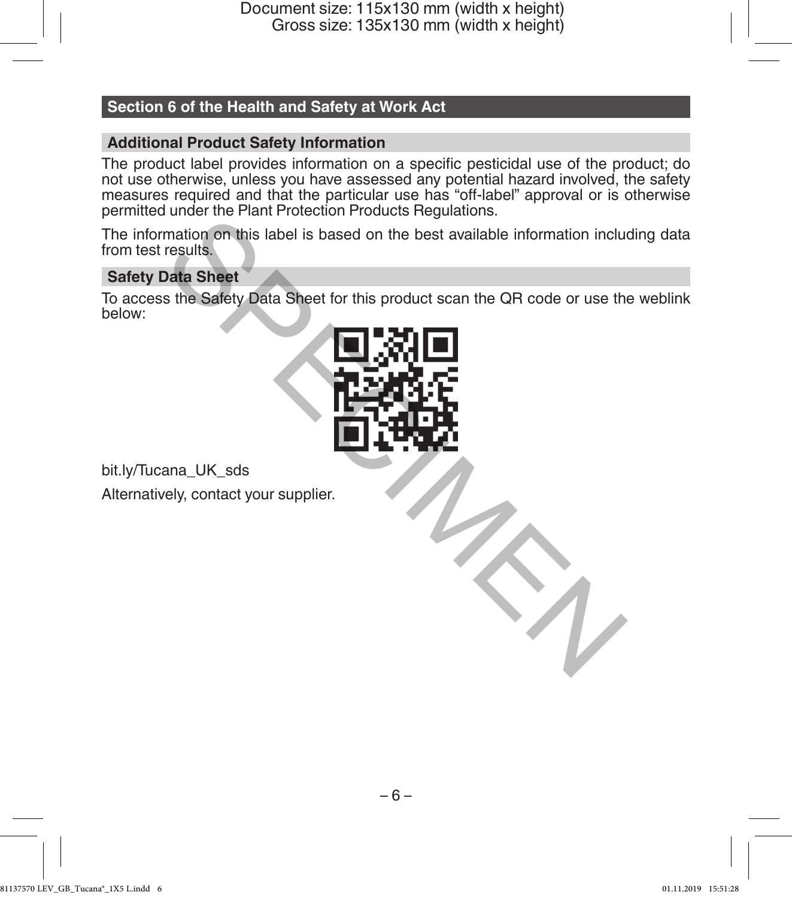## **Section 6 of the Health and Safety at Work Act**

## **Additional Product Safety Information**

The product label provides information on a specific pesticidal use of the product; do not use otherwise, unless you have assessed any potential hazard involved, the safety measures required and that the particular use has "off-label" approval or is otherwise permitted under the Plant Protection Products Regulations.

The information on this label is based on the best available information including data from test results.

### **Safety Data Sheet**

To access the Safety Data Sheet for this product scan the QR code or use the weblink below:



bit.ly/Tucana\_UK\_sds Alternatively, contact your supplier.